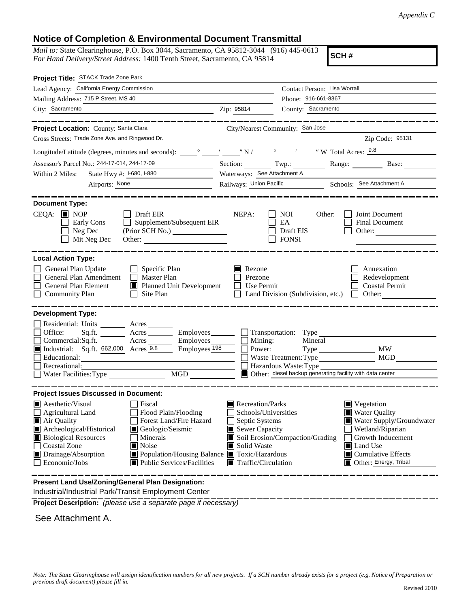#### **Notice of Completion & Environmental Document Transmittal**

*Mail to:* State Clearinghouse, P.O. Box 3044, Sacramento, CA 95812-3044 (916) 445-0613 *For Hand Delivery/Street Address:* 1400 Tenth Street, Sacramento, CA 95814

**SCH #**

| Project Title: STACK Trade Zone Park                                                                                                                                                                                                                                                                                                                                                         |                                                                                                                                                                      |                                                                                                                        |                                                                                                                                                                                                  |
|----------------------------------------------------------------------------------------------------------------------------------------------------------------------------------------------------------------------------------------------------------------------------------------------------------------------------------------------------------------------------------------------|----------------------------------------------------------------------------------------------------------------------------------------------------------------------|------------------------------------------------------------------------------------------------------------------------|--------------------------------------------------------------------------------------------------------------------------------------------------------------------------------------------------|
| Lead Agency: California Energy Commission                                                                                                                                                                                                                                                                                                                                                    | Contact Person: Lisa Worrall                                                                                                                                         |                                                                                                                        |                                                                                                                                                                                                  |
| Mailing Address: 715 P Street, MS 40                                                                                                                                                                                                                                                                                                                                                         | Phone: 916-661-8367                                                                                                                                                  |                                                                                                                        |                                                                                                                                                                                                  |
| City: Sacramento                                                                                                                                                                                                                                                                                                                                                                             | Zip: 95814                                                                                                                                                           | County: Sacramento                                                                                                     |                                                                                                                                                                                                  |
|                                                                                                                                                                                                                                                                                                                                                                                              |                                                                                                                                                                      |                                                                                                                        |                                                                                                                                                                                                  |
| Project Location: County: Santa Clara                                                                                                                                                                                                                                                                                                                                                        | City/Nearest Community: San Jose                                                                                                                                     |                                                                                                                        |                                                                                                                                                                                                  |
| Cross Streets: Trade Zone Ave. and Ringwood Dr.                                                                                                                                                                                                                                                                                                                                              |                                                                                                                                                                      |                                                                                                                        | Zip Code: 95131                                                                                                                                                                                  |
|                                                                                                                                                                                                                                                                                                                                                                                              |                                                                                                                                                                      |                                                                                                                        |                                                                                                                                                                                                  |
| Assessor's Parcel No.: 244-17-014, 244-17-09<br><u> 1989 - Johann Barnett, f</u>                                                                                                                                                                                                                                                                                                             |                                                                                                                                                                      |                                                                                                                        | Section: Twp.: Range: Base:                                                                                                                                                                      |
| State Hwy #: 1-680, 1-880<br>Within 2 Miles:                                                                                                                                                                                                                                                                                                                                                 | Waterways: See Attachment A                                                                                                                                          |                                                                                                                        |                                                                                                                                                                                                  |
| Airports: None                                                                                                                                                                                                                                                                                                                                                                               | Railways: Union Pacific Schools: See Attachment A                                                                                                                    |                                                                                                                        |                                                                                                                                                                                                  |
| <b>Document Type:</b><br>$CEQA:$ MOP<br>$\Box$ Draft EIR<br>Supplement/Subsequent EIR<br>Early Cons<br>Neg Dec<br>Mit Neg Dec                                                                                                                                                                                                                                                                | NEPA:                                                                                                                                                                | <b>NOI</b><br>Other:<br>EA<br>Draft EIS<br><b>FONSI</b>                                                                | Joint Document<br>Final Document<br>Other: $\frac{1}{1}$                                                                                                                                         |
| <b>Local Action Type:</b><br>General Plan Update<br>$\Box$ Specific Plan<br>General Plan Amendment<br>$\Box$ Master Plan<br>General Plan Element<br>Planned Unit Development<br><b>Community Plan</b><br>$\Box$ Site Plan                                                                                                                                                                    | Rezone<br>Prezone<br><b>Use Permit</b>                                                                                                                               | Land Division (Subdivision, etc.)                                                                                      | Annexation<br>Redevelopment<br><b>Coastal Permit</b><br>$\Box$ Other:                                                                                                                            |
| <b>Development Type:</b>                                                                                                                                                                                                                                                                                                                                                                     |                                                                                                                                                                      |                                                                                                                        |                                                                                                                                                                                                  |
| Residential: Units ________ Acres _______<br>Office:<br>Acres ________ Employees _______ Transportation: Type<br>Sq.ft.<br>Acres Employees Mining:<br>Commercial:Sq.ft.<br>Industrial: Sq.ft. 662,000 Acres 9.8<br>Employees <sub>198</sub><br>Recreational:<br>MGD                                                                                                                          | Power:                                                                                                                                                               | Mineral<br>Waste Treatment: Type<br>Hazardous Waste: Type<br>Other: diesel backup generating facility with data center | Type MW<br>MGD                                                                                                                                                                                   |
| <b>Project Issues Discussed in Document:</b>                                                                                                                                                                                                                                                                                                                                                 |                                                                                                                                                                      |                                                                                                                        |                                                                                                                                                                                                  |
| $\blacksquare$ Aesthetic/Visual<br>  Fiscal<br>Agricultural Land<br>Flood Plain/Flooding<br>Air Quality<br>Forest Land/Fire Hazard<br>Archeological/Historical<br>Geologic/Seismic<br><b>Biological Resources</b><br>Minerals<br><b>Coastal Zone</b><br><b>■</b> Noise<br>Population/Housing Balance Toxic/Hazardous<br>Drainage/Absorption<br>Economic/Jobs<br>■ Public Services/Facilities | Recreation/Parks<br>Schools/Universities<br>Septic Systems<br>Sewer Capacity<br>Soil Erosion/Compaction/Grading<br>Solid Waste<br>$\blacksquare$ Traffic/Circulation |                                                                                                                        | $\blacksquare$ Vegetation<br><b>Water Quality</b><br>Water Supply/Groundwater<br>Wetland/Riparian<br>Growth Inducement<br>Land Use<br>$\blacksquare$ Cumulative Effects<br>Other: Energy, Tribal |
| Present Land Lise/Zoning/General Plan Designation                                                                                                                                                                                                                                                                                                                                            |                                                                                                                                                                      |                                                                                                                        |                                                                                                                                                                                                  |

 Industrial/Industrial Park/Transit Employment Center **Present Land Use/Zoning/General Plan Designation:**

**Project Description:** *(please use a separate page if necessary)*

See Attachment A.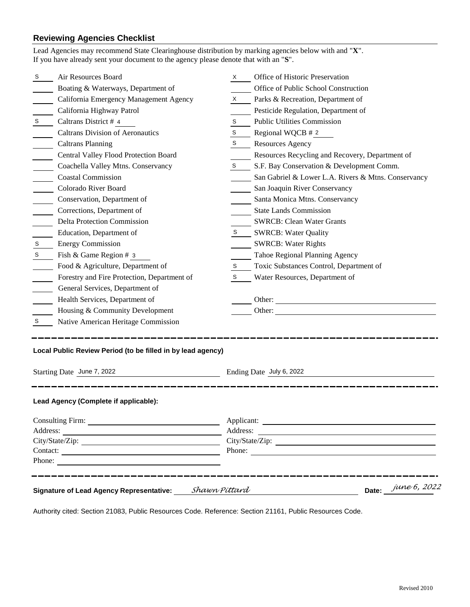### **Reviewing Agencies Checklist**

|                 | Lead Agencies may recommend State Clearinghouse distribution by marking agencies below with and "X".<br>If you have already sent your document to the agency please denote that with an "S". |   |                                                     |  |  |
|-----------------|----------------------------------------------------------------------------------------------------------------------------------------------------------------------------------------------|---|-----------------------------------------------------|--|--|
| S.              | Air Resources Board                                                                                                                                                                          | X | Office of Historic Preservation                     |  |  |
|                 | Boating & Waterways, Department of                                                                                                                                                           |   | Office of Public School Construction                |  |  |
|                 | California Emergency Management Agency                                                                                                                                                       | X | Parks & Recreation, Department of                   |  |  |
|                 | California Highway Patrol                                                                                                                                                                    |   | Pesticide Regulation, Department of                 |  |  |
| S               | Caltrans District # 4                                                                                                                                                                        | S | <b>Public Utilities Commission</b>                  |  |  |
|                 | <b>Caltrans Division of Aeronautics</b>                                                                                                                                                      | S | Regional WQCB # 2                                   |  |  |
|                 | <b>Caltrans Planning</b>                                                                                                                                                                     | S | <b>Resources Agency</b>                             |  |  |
|                 | Central Valley Flood Protection Board                                                                                                                                                        |   | Resources Recycling and Recovery, Department of     |  |  |
|                 | Coachella Valley Mtns. Conservancy                                                                                                                                                           | S | S.F. Bay Conservation & Development Comm.           |  |  |
|                 | <b>Coastal Commission</b>                                                                                                                                                                    |   | San Gabriel & Lower L.A. Rivers & Mtns. Conservancy |  |  |
|                 | Colorado River Board                                                                                                                                                                         |   | San Joaquin River Conservancy                       |  |  |
|                 | Conservation, Department of                                                                                                                                                                  |   | Santa Monica Mtns. Conservancy                      |  |  |
|                 | Corrections, Department of                                                                                                                                                                   |   | <b>State Lands Commission</b>                       |  |  |
|                 | <b>Delta Protection Commission</b>                                                                                                                                                           |   | <b>SWRCB: Clean Water Grants</b>                    |  |  |
|                 | Education, Department of                                                                                                                                                                     | S | <b>SWRCB: Water Quality</b>                         |  |  |
| $\mbox{\bf S}$  | <b>Energy Commission</b>                                                                                                                                                                     |   | <b>SWRCB: Water Rights</b>                          |  |  |
| $\mathbb S$     | Fish & Game Region # 3                                                                                                                                                                       |   | Tahoe Regional Planning Agency                      |  |  |
|                 | Food & Agriculture, Department of                                                                                                                                                            | S | Toxic Substances Control, Department of             |  |  |
|                 | Forestry and Fire Protection, Department of                                                                                                                                                  | S | Water Resources, Department of                      |  |  |
|                 | General Services, Department of                                                                                                                                                              |   |                                                     |  |  |
|                 | Health Services, Department of                                                                                                                                                               |   | Other:                                              |  |  |
|                 | Housing & Community Development                                                                                                                                                              |   |                                                     |  |  |
| S               | Native American Heritage Commission                                                                                                                                                          |   |                                                     |  |  |
|                 | Local Public Review Period (to be filled in by lead agency)                                                                                                                                  |   |                                                     |  |  |
|                 | Starting Date June 7, 2022                                                                                                                                                                   |   | Ending Date July 6, 2022                            |  |  |
|                 | Lead Agency (Complete if applicable):                                                                                                                                                        |   |                                                     |  |  |
|                 |                                                                                                                                                                                              |   |                                                     |  |  |
|                 |                                                                                                                                                                                              |   |                                                     |  |  |
| City/State/Zip: |                                                                                                                                                                                              |   | City/State/Zip:                                     |  |  |
|                 |                                                                                                                                                                                              |   | Phone:                                              |  |  |
|                 | Phone:                                                                                                                                                                                       |   |                                                     |  |  |
|                 | Signature of Lead Agency Representative: Shawn Pittard                                                                                                                                       |   | Date: $\frac{june6, 2022}{2}$                       |  |  |

Authority cited: Section 21083, Public Resources Code. Reference: Section 21161, Public Resources Code.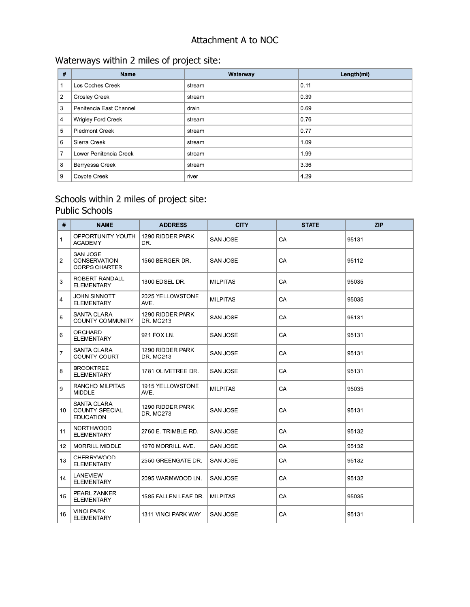## Attachment A to NOC

# Waterways within 2 miles of project site:

| # | Name                    | Waterway | Length(mi) |
|---|-------------------------|----------|------------|
|   | Los Coches Creek        | stream   | 0.11       |
| 2 | <b>Crosley Creek</b>    | stream   | 0.39       |
| 3 | Penitencia East Channel | drain    | 0.69       |
| 4 | Wrigley Ford Creek      | stream   | 0.76       |
| 5 | <b>Piedmont Creek</b>   | stream   | 0.77       |
| 6 | Sierra Creek            | stream   | 1.09       |
| 7 | Lower Penitencia Creek  | stream   | 1.99       |
| 8 | Berryessa Creek         | stream   | 3.36       |
| 9 | Coyote Creek            | river    | 4.29       |

## Schools within 2 miles of project site: Public Schools

| #  | <b>NAME</b>                                       | <b>ADDRESS</b>                | <b>CITY</b>     | <b>STATE</b> | <b>ZIP</b> |
|----|---------------------------------------------------|-------------------------------|-----------------|--------------|------------|
| 1  | OPPORTUNITY YOUTH<br><b>ACADEMY</b>               | 1290 RIDDER PARK<br>DR.       | SAN JOSE        | CA           | 95131      |
| 2  | SAN JOSE<br>CONSERVATION<br><b>CORPS CHARTER</b>  | 1560 BERGER DR.               | SAN JOSE        | CA           | 95112      |
| 3  | ROBERT RANDALL<br><b>ELEMENTARY</b>               | 1300 EDSEL DR.                | <b>MILPITAS</b> | CA           | 95035      |
| 4  | JOHN SINNOTT<br>ELEMENTARY                        | 2025 YELLOWSTONE<br>AVE.      | <b>MILPITAS</b> | CA           | 95035      |
| 5  | SANTA CLARA<br>COUNTY COMMUNITY                   | 1290 RIDDER PARK<br>DR. MC213 | SAN JOSE        | CA           | 95131      |
| 6  | ORCHARD<br><b>ELEMENTARY</b>                      | 921 FOX LN.                   | SAN JOSE        | CA           | 95131      |
| 7  | SANTA CLARA<br>COUNTY COURT                       | 1290 RIDDER PARK<br>DR. MC213 | SAN JOSE        | CA           | 95131      |
| 8  | <b>BROOKTREE</b><br><b>ELEMENTARY</b>             | 1781 OLIVETREE DR.            | SAN JOSE        | CA           | 95131      |
| 9  | RANCHO MILPITAS<br>MIDDLE                         | 1915 YELLOWSTONE<br>AVE.      | <b>MILPITAS</b> | CA           | 95035      |
| 10 | SANTA CLARA<br>COUNTY SPECIAL<br><b>EDUCATION</b> | 1290 RIDDER PARK<br>DR. MC273 | SAN JOSE        | CA           | 95131      |
| 11 | <b>NORTHWOOD</b><br><b>ELEMENTARY</b>             | 2760 E. TRIMBLE RD.           | SAN JOSE        | CA           | 95132      |
| 12 | MORRILL MIDDLE                                    | 1970 MORRILL AVE.             | SAN JOSE        | CA           | 95132      |
| 13 | CHERRYWOOD<br><b>ELEMENTARY</b>                   | 2550 GREENGATE DR.            | SAN JOSE        | CA           | 95132      |
| 14 | LANEVIEW<br><b>ELEMENTARY</b>                     | 2095 WARMWOOD LN.             | SAN JOSE        | CA           | 95132      |
| 15 | PEARL ZANKER<br><b>ELEMENTARY</b>                 | 1585 FALLEN LEAF DR.          | <b>MILPITAS</b> | CA           | 95035      |
| 16 | VINCI PARK<br>ELEMENTARY                          | 1311 VINCI PARK WAY           | SAN JOSE        | CA           | 95131      |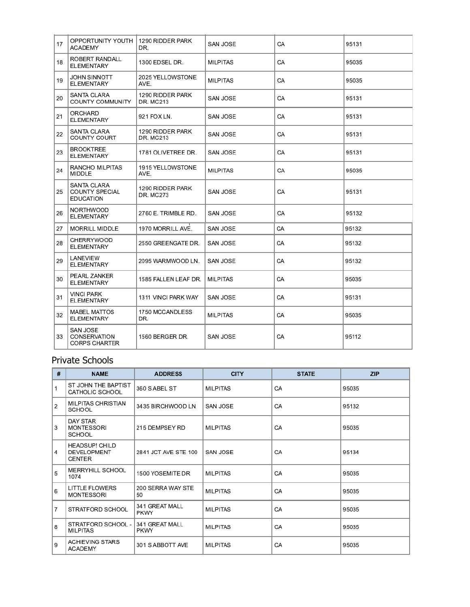| 17 | OPPORTUNITY YOUTH<br><b>ACADEMY</b>               | 1290 RIDDER PARK<br>DR.       | SAN JOSE        | CA | 95131 |
|----|---------------------------------------------------|-------------------------------|-----------------|----|-------|
| 18 | ROBERT RANDALL<br><b>ELEMENTARY</b>               | 1300 EDSEL DR.                | <b>MILPITAS</b> | CA | 95035 |
| 19 | JOHN SINNOTT<br><b>ELEMENTARY</b>                 | 2025 YELLOWSTONE<br>AVE.      | <b>MILPITAS</b> | CA | 95035 |
| 20 | SANTA CLARA<br>COUNTY COMMUNITY                   | 1290 RIDDER PARK<br>DR. MC213 | SAN JOSE        | СA | 95131 |
| 21 | ORCHARD<br><b>ELEMENTARY</b>                      | 921 FOX LN.                   | SAN JOSE        | CA | 95131 |
| 22 | SANTA CLARA<br>COUNTY COURT                       | 1290 RIDDER PARK<br>DR. MC213 | SAN JOSE        | CA | 95131 |
| 23 | BROOKTREE<br><b>ELEMENTARY</b>                    | 1781 OLIVETREE DR.            | SAN JOSE        | CA | 95131 |
| 24 | RANCHO MILPITAS<br>MIDDLE                         | 1915 YELLOWSTONE<br>AVE.      | <b>MILPITAS</b> | CA | 95035 |
| 25 | SANTA CLARA<br>COUNTY SPECIAL<br><b>EDUCATION</b> | 1290 RIDDER PARK<br>DR. MC273 | SAN JOSE        | CA | 95131 |
| 26 | NORTHWOOD<br><b>ELEMENTARY</b>                    | 2760 E. TRIMBLE RD.           | SAN JOSE        | CA | 95132 |
| 27 | <b>MORRILL MIDDLE</b>                             | 1970 MORRILL AVE.             | SAN JOSE        | CA | 95132 |
| 28 | <b>CHERRYWOOD</b><br><b>ELEMENTARY</b>            | 2550 GREENGATE DR.            | SAN JOSE        | CA | 95132 |
| 29 | LANEVIEW<br>ELEMENTARY                            | 2095 WARMWOOD LN.             | SAN JOSE        | CA | 95132 |
| 30 | PEARL ZANKER<br><b>ELEMENTARY</b>                 | 1585 FALLEN LEAF DR.          | <b>MILPITAS</b> | CA | 95035 |
| 31 | <b>VINCI PARK</b><br><b>ELEMENTARY</b>            | 1311 VINCI PARK WAY           | SAN JOSE        | СA | 95131 |
| 32 | MABEL MATTOS<br><b>ELEMENTARY</b>                 | 1750 MCCANDLESS<br>DR.        | <b>MILPITAS</b> | CA | 95035 |
| 33 | SAN JOSE<br>CONSERVATION<br><b>CORPS CHARTER</b>  | 1560 BERGER DR.               | SAN JOSE        | CA | 95112 |

### Private Schools

| $\pmb{\mu}$    | <b>NAME</b>                                           | <b>ADDRESS</b>                | <b>CITY</b>     | <b>STATE</b> | <b>ZIP</b> |
|----------------|-------------------------------------------------------|-------------------------------|-----------------|--------------|------------|
| $\mathbf{1}$   | ST JOHN THE BAPTIST<br>CATHOLIC SCHOOL                | 360 S ABEL ST                 | <b>MILPITAS</b> | CA           | 95035      |
| 2              | MILPITAS CHRISTIAN<br>SCHOOL                          | 3435 BIRCHWOOD LN             | SAN JOSE        | CA           | 95132      |
| 3              | DAY STAR<br>MONTESSORI<br>SCHOOL                      | 215 DEMPSEY RD                | <b>MILPITAS</b> | CA           | 95035      |
| 4              | <b>HEADSUP! CHILD</b><br><b>DEVELOPMENT</b><br>CENTER | 2841 JCT AVE STE 100          | SAN JOSE        | CA           | 95134      |
| 5              | MERRYHILL SCHOOL<br>1074                              | 1500 YOSEMITE DR              | <b>MILPITAS</b> | CA           | 95035      |
| 6              | <b>LITTLE FLOWERS</b><br><b>MONTESSORI</b>            | 200 SERRA WAY STE<br>50       | <b>MILPITAS</b> | CA           | 95035      |
| $\overline{7}$ | STRATFORD SCHOOL                                      | 341 GREAT MALL<br>PKWY        | <b>MILPITAS</b> | CA           | 95035      |
| 8              | STRATFORD SCHOOL -<br><b>MILPITAS</b>                 | 341 GREAT MALL<br><b>PKWY</b> | <b>MILPITAS</b> | CA           | 95035      |
| 9              | ACHIEVING STARS<br><b>ACADEMY</b>                     | 301 S ABBOTT AVE              | <b>MILPITAS</b> | CA           | 95035      |